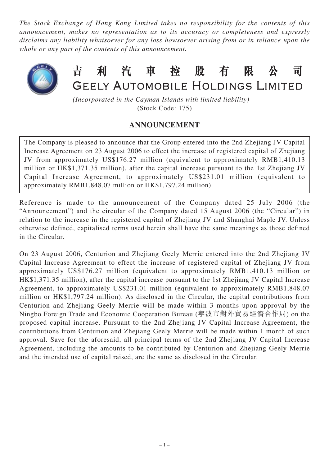*The Stock Exchange of Hong Kong Limited takes no responsibility for the contents of this announcement, makes no representation as to its accuracy or completeness and expressly disclaims any liability whatsoever for any loss howsoever arising from or in reliance upon the whole or any part of the contents of this announcement.*



吉 利汽車控股 有 限 司 GEELY AUTOMOBILE HOLDINGS LIMITED

*(Incorporated in the Cayman Islands with limited liability)* (Stock Code: 175)

## **ANNOUNCEMENT**

The Company is pleased to announce that the Group entered into the 2nd Zhejiang JV Capital Increase Agreement on 23 August 2006 to effect the increase of registered capital of Zhejiang JV from approximately US\$176.27 million (equivalent to approximately RMB1,410.13 million or HK\$1,371.35 million), after the capital increase pursuant to the 1st Zhejiang JV Capital Increase Agreement, to approximately US\$231.01 million (equivalent to approximately RMB1,848.07 million or HK\$1,797.24 million).

Reference is made to the announcement of the Company dated 25 July 2006 (the "Announcement") and the circular of the Company dated 15 August 2006 (the "Circular") in relation to the increase in the registered capital of Zhejiang JV and Shanghai Maple JV. Unless otherwise defined, capitalised terms used herein shall have the same meanings as those defined in the Circular.

On 23 August 2006, Centurion and Zhejiang Geely Merrie entered into the 2nd Zhejiang JV Capital Increase Agreement to effect the increase of registered capital of Zhejiang JV from approximately US\$176.27 million (equivalent to approximately RMB1,410.13 million or HK\$1,371.35 million), after the capital increase pursuant to the 1st Zhejiang JV Capital Increase Agreement, to approximately US\$231.01 million (equivalent to approximately RMB1,848.07 million or HK\$1,797.24 million). As disclosed in the Circular, the capital contributions from Centurion and Zhejiang Geely Merrie will be made within 3 months upon approval by the Ningbo Foreign Trade and Economic Cooperation Bureau (寧波市對外貿易經濟合作局) on the proposed capital increase. Pursuant to the 2nd Zhejiang JV Capital Increase Agreement, the contributions from Centurion and Zhejiang Geely Merrie will be made within 1 month of such approval. Save for the aforesaid, all principal terms of the 2nd Zhejiang JV Capital Increase Agreement, including the amounts to be contributed by Centurion and Zhejiang Geely Merrie and the intended use of capital raised, are the same as disclosed in the Circular.